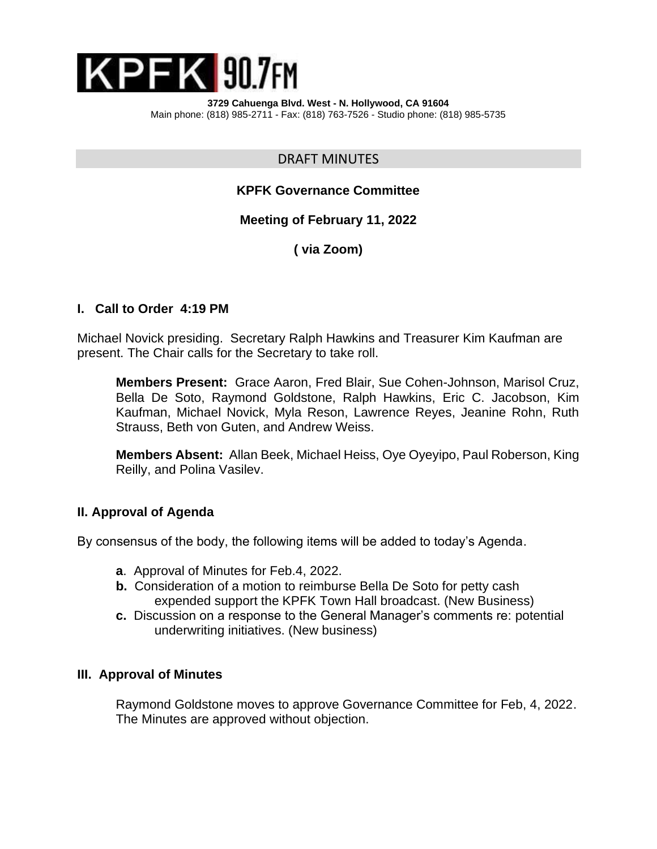

**3729 Cahuenga Blvd. West - N. Hollywood, CA 91604** Main phone: (818) 985-2711 - Fax: (818) 763-7526 - Studio phone: (818) 985-5735

DRAFT MINUTES

## **KPFK Governance Committee**

### **Meeting of February 11, 2022**

**( via Zoom)**

### **I. Call to Order 4:19 PM**

Michael Novick presiding. Secretary Ralph Hawkins and Treasurer Kim Kaufman are present. The Chair calls for the Secretary to take roll.

**Members Present:** Grace Aaron, Fred Blair, Sue Cohen-Johnson, Marisol Cruz, Bella De Soto, Raymond Goldstone, Ralph Hawkins, Eric C. Jacobson, Kim Kaufman, Michael Novick, Myla Reson, Lawrence Reyes, Jeanine Rohn, Ruth Strauss, Beth von Guten, and Andrew Weiss.

**Members Absent:** Allan Beek, Michael Heiss, Oye Oyeyipo, Paul Roberson, King Reilly, and Polina Vasilev.

#### **II. Approval of Agenda**

By consensus of the body, the following items will be added to today's Agenda.

- **a**. Approval of Minutes for Feb.4, 2022.
- **b.** Consideration of a motion to reimburse Bella De Soto for petty cash expended support the KPFK Town Hall broadcast. (New Business)
- **c.** Discussion on a response to the General Manager's comments re: potential underwriting initiatives. (New business)

#### **III. Approval of Minutes**

Raymond Goldstone moves to approve Governance Committee for Feb, 4, 2022. The Minutes are approved without objection.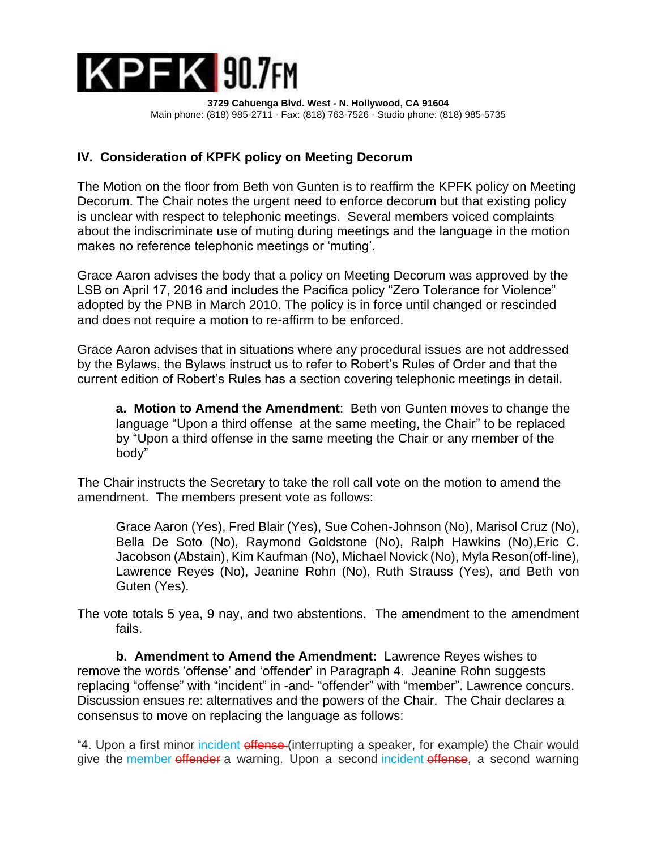

**3729 Cahuenga Blvd. West - N. Hollywood, CA 91604** Main phone: (818) 985-2711 - Fax: (818) 763-7526 - Studio phone: (818) 985-5735

## **IV. Consideration of KPFK policy on Meeting Decorum**

The Motion on the floor from Beth von Gunten is to reaffirm the KPFK policy on Meeting Decorum. The Chair notes the urgent need to enforce decorum but that existing policy is unclear with respect to telephonic meetings. Several members voiced complaints about the indiscriminate use of muting during meetings and the language in the motion makes no reference telephonic meetings or 'muting'.

Grace Aaron advises the body that a policy on Meeting Decorum was approved by the LSB on April 17, 2016 and includes the Pacifica policy "Zero Tolerance for Violence" adopted by the PNB in March 2010. The policy is in force until changed or rescinded and does not require a motion to re-affirm to be enforced.

Grace Aaron advises that in situations where any procedural issues are not addressed by the Bylaws, the Bylaws instruct us to refer to Robert's Rules of Order and that the current edition of Robert's Rules has a section covering telephonic meetings in detail.

**a. Motion to Amend the Amendment**: Beth von Gunten moves to change the language "Upon a third offense at the same meeting, the Chair" to be replaced by "Upon a third offense in the same meeting the Chair or any member of the body"

The Chair instructs the Secretary to take the roll call vote on the motion to amend the amendment. The members present vote as follows:

Grace Aaron (Yes), Fred Blair (Yes), Sue Cohen-Johnson (No), Marisol Cruz (No), Bella De Soto (No), Raymond Goldstone (No), Ralph Hawkins (No),Eric C. Jacobson (Abstain), Kim Kaufman (No), Michael Novick (No), Myla Reson(off-line), Lawrence Reyes (No), Jeanine Rohn (No), Ruth Strauss (Yes), and Beth von Guten (Yes).

The vote totals 5 yea, 9 nay, and two abstentions. The amendment to the amendment fails.

**b. Amendment to Amend the Amendment:** Lawrence Reyes wishes to remove the words 'offense' and 'offender' in Paragraph 4. Jeanine Rohn suggests replacing "offense" with "incident" in -and- "offender" with "member". Lawrence concurs. Discussion ensues re: alternatives and the powers of the Chair. The Chair declares a consensus to move on replacing the language as follows:

"4. Upon a first minor incident offense (interrupting a speaker, for example) the Chair would give the member offender a warning. Upon a second incident offense, a second warning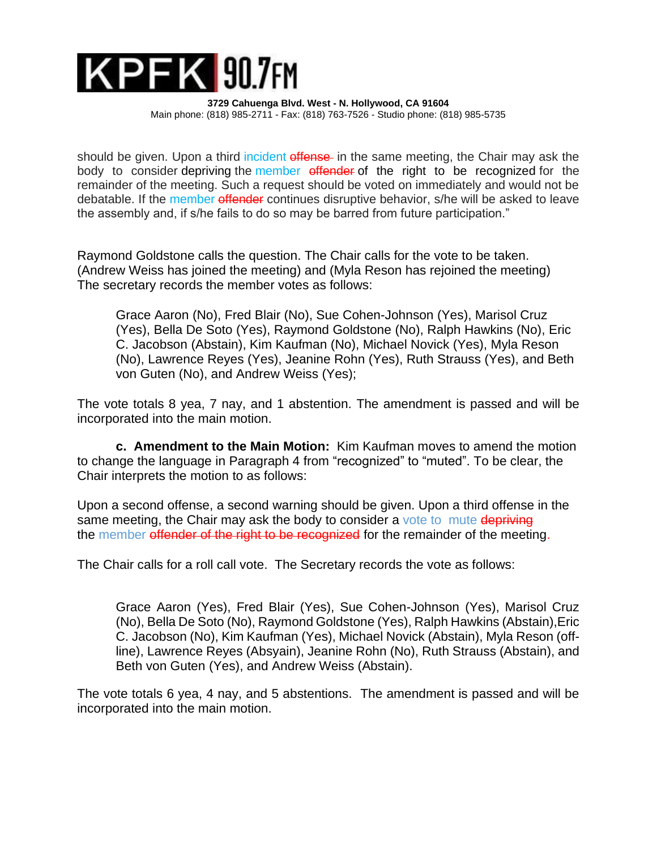# $K$ PF $K$  90.7 $F$ M

**3729 Cahuenga Blvd. West - N. Hollywood, CA 91604** Main phone: (818) 985-2711 - Fax: (818) 763-7526 - Studio phone: (818) 985-5735

should be given. Upon a third incident offense in the same meeting, the Chair may ask the body to consider depriving the member offender of the right to be recognized for the remainder of the meeting. Such a request should be voted on immediately and would not be debatable. If the member offender continues disruptive behavior, s/he will be asked to leave the assembly and, if s/he fails to do so may be barred from future participation."

Raymond Goldstone calls the question. The Chair calls for the vote to be taken. (Andrew Weiss has joined the meeting) and (Myla Reson has rejoined the meeting) The secretary records the member votes as follows:

 Grace Aaron (No), Fred Blair (No), Sue Cohen-Johnson (Yes), Marisol Cruz (Yes), Bella De Soto (Yes), Raymond Goldstone (No), Ralph Hawkins (No), Eric C. Jacobson (Abstain), Kim Kaufman (No), Michael Novick (Yes), Myla Reson (No), Lawrence Reyes (Yes), Jeanine Rohn (Yes), Ruth Strauss (Yes), and Beth von Guten (No), and Andrew Weiss (Yes);

The vote totals 8 yea, 7 nay, and 1 abstention. The amendment is passed and will be incorporated into the main motion.

**c. Amendment to the Main Motion:** Kim Kaufman moves to amend the motion to change the language in Paragraph 4 from "recognized" to "muted". To be clear, the Chair interprets the motion to as follows:

Upon a second offense, a second warning should be given. Upon a third offense in the same meeting, the Chair may ask the body to consider a vote to mute depriving the member offender of the right to be recognized for the remainder of the meeting.

The Chair calls for a roll call vote. The Secretary records the vote as follows:

Grace Aaron (Yes), Fred Blair (Yes), Sue Cohen-Johnson (Yes), Marisol Cruz (No), Bella De Soto (No), Raymond Goldstone (Yes), Ralph Hawkins (Abstain),Eric C. Jacobson (No), Kim Kaufman (Yes), Michael Novick (Abstain), Myla Reson (offline), Lawrence Reyes (Absyain), Jeanine Rohn (No), Ruth Strauss (Abstain), and Beth von Guten (Yes), and Andrew Weiss (Abstain).

The vote totals 6 yea, 4 nay, and 5 abstentions. The amendment is passed and will be incorporated into the main motion.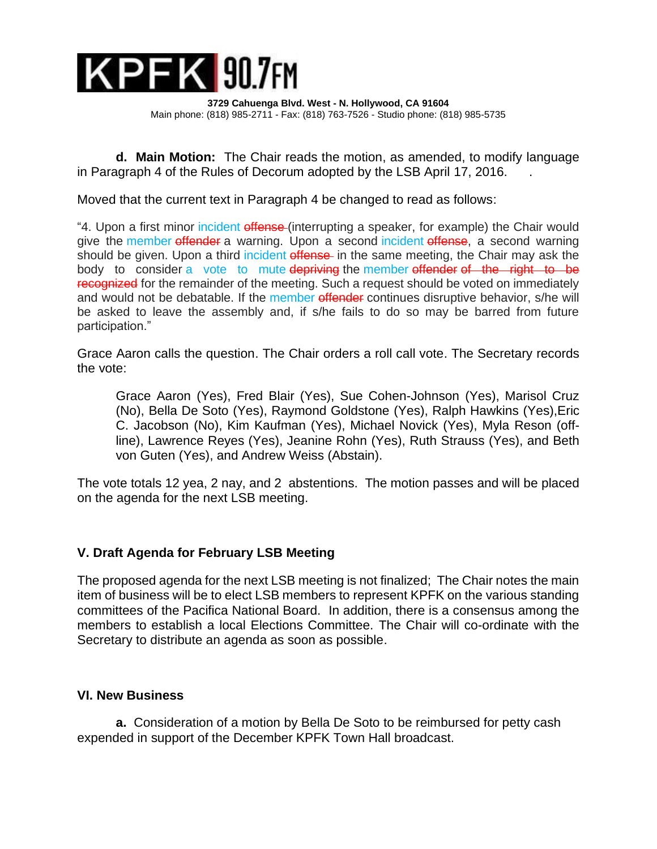

**3729 Cahuenga Blvd. West - N. Hollywood, CA 91604** Main phone: (818) 985-2711 - Fax: (818) 763-7526 - Studio phone: (818) 985-5735

**d. Main Motion:** The Chair reads the motion, as amended, to modify language in Paragraph 4 of the Rules of Decorum adopted by the LSB April 17, 2016. .

Moved that the current text in Paragraph 4 be changed to read as follows:

"4. Upon a first minor incident offense (interrupting a speaker, for example) the Chair would give the member offender a warning. Upon a second incident offense, a second warning should be given. Upon a third incident offense in the same meeting, the Chair may ask the body to consider a vote to mute depriving the member of the right to be recognized for the remainder of the meeting. Such a request should be voted on immediately and would not be debatable. If the member offender continues disruptive behavior, s/he will be asked to leave the assembly and, if s/he fails to do so may be barred from future participation."

Grace Aaron calls the question. The Chair orders a roll call vote. The Secretary records the vote:

Grace Aaron (Yes), Fred Blair (Yes), Sue Cohen-Johnson (Yes), Marisol Cruz (No), Bella De Soto (Yes), Raymond Goldstone (Yes), Ralph Hawkins (Yes),Eric C. Jacobson (No), Kim Kaufman (Yes), Michael Novick (Yes), Myla Reson (offline), Lawrence Reyes (Yes), Jeanine Rohn (Yes), Ruth Strauss (Yes), and Beth von Guten (Yes), and Andrew Weiss (Abstain).

The vote totals 12 yea, 2 nay, and 2 abstentions. The motion passes and will be placed on the agenda for the next LSB meeting.

# **V. Draft Agenda for February LSB Meeting**

The proposed agenda for the next LSB meeting is not finalized; The Chair notes the main item of business will be to elect LSB members to represent KPFK on the various standing committees of the Pacifica National Board. In addition, there is a consensus among the members to establish a local Elections Committee. The Chair will co-ordinate with the Secretary to distribute an agenda as soon as possible.

## **VI. New Business**

**a.** Consideration of a motion by Bella De Soto to be reimbursed for petty cash expended in support of the December KPFK Town Hall broadcast.